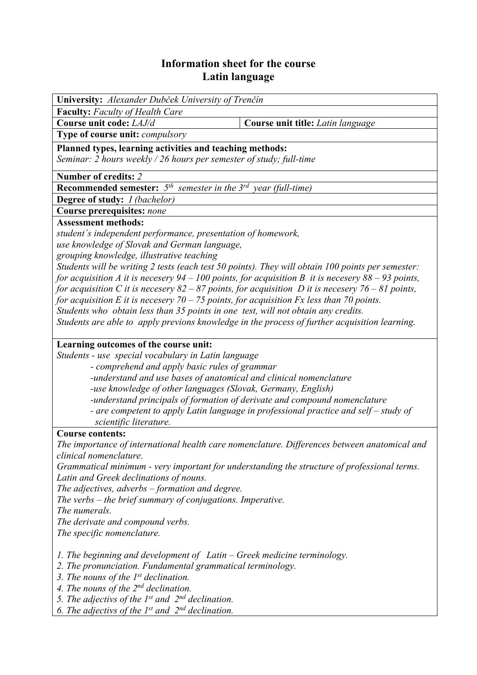## **Information sheet for the course Latin language**

| University: Alexander Dubček University of Trenčín                                                     |                                   |  |  |  |  |  |  |
|--------------------------------------------------------------------------------------------------------|-----------------------------------|--|--|--|--|--|--|
| <b>Faculty:</b> Faculty of Health Care                                                                 |                                   |  |  |  |  |  |  |
| Course unit code: LAJ/d                                                                                | Course unit title: Latin language |  |  |  |  |  |  |
| Type of course unit: compulsory                                                                        |                                   |  |  |  |  |  |  |
| Planned types, learning activities and teaching methods:                                               |                                   |  |  |  |  |  |  |
| Seminar: 2 hours weekly / 26 hours per semester of study; full-time                                    |                                   |  |  |  |  |  |  |
| Number of credits: 2                                                                                   |                                   |  |  |  |  |  |  |
| <b>Recommended semester:</b> $5^{th}$ semester in the $3^{rd}$ year (full-time)                        |                                   |  |  |  |  |  |  |
| <b>Degree of study:</b> <i>I (bachelor)</i>                                                            |                                   |  |  |  |  |  |  |
| Course prerequisites: none                                                                             |                                   |  |  |  |  |  |  |
| <b>Assessment methods:</b>                                                                             |                                   |  |  |  |  |  |  |
| student's independent performance, presentation of homework,                                           |                                   |  |  |  |  |  |  |
| use knowledge of Slovak and German language,                                                           |                                   |  |  |  |  |  |  |
| grouping knowledge, illustrative teaching                                                              |                                   |  |  |  |  |  |  |
| Students will be writing 2 tests (each test 50 points). They will obtain 100 points per semester:      |                                   |  |  |  |  |  |  |
| for acquisition A it is necesery $94 - 100$ points, for acquisition B it is necesery $88 - 93$ points, |                                   |  |  |  |  |  |  |
| for acquisition C it is necesery $82 - 87$ points, for acquisition D it is necesery $76 - 81$ points,  |                                   |  |  |  |  |  |  |
| for acquisition E it is necesery 70 – 75 points, for acquisition $Fx$ less than 70 points.             |                                   |  |  |  |  |  |  |
| Students who obtain less than 35 points in one test, will not obtain any credits.                      |                                   |  |  |  |  |  |  |
| Students are able to apply previons knowledge in the process of further acquisition learning.          |                                   |  |  |  |  |  |  |
|                                                                                                        |                                   |  |  |  |  |  |  |
| Learning outcomes of the course unit:                                                                  |                                   |  |  |  |  |  |  |
| Students - use special vocabulary in Latin language                                                    |                                   |  |  |  |  |  |  |
| - comprehend and apply basic rules of grammar                                                          |                                   |  |  |  |  |  |  |
| -understand and use bases of anatomical and clinical nomenclature                                      |                                   |  |  |  |  |  |  |
| -use knowledge of other languages (Slovak, Germany, English)                                           |                                   |  |  |  |  |  |  |
| -understand principals of formation of derivate and compound nomenclature                              |                                   |  |  |  |  |  |  |
| - are competent to apply Latin language in professional practice and self - study of                   |                                   |  |  |  |  |  |  |
| scientific literature.                                                                                 |                                   |  |  |  |  |  |  |
| <b>Course contents:</b>                                                                                |                                   |  |  |  |  |  |  |
| The importance of international health care nomenclature. Differences between anatomical and           |                                   |  |  |  |  |  |  |
| clinical nomenclature.                                                                                 |                                   |  |  |  |  |  |  |
| Grammatical minimum - very important for understanding the structure of professional terms.            |                                   |  |  |  |  |  |  |
| Latin and Greek declinations of nouns.                                                                 |                                   |  |  |  |  |  |  |
| The adjectives, adverbs – formation and degree.                                                        |                                   |  |  |  |  |  |  |
| The verbs $-$ the brief summary of conjugations. Imperative.                                           |                                   |  |  |  |  |  |  |
| The numerals.                                                                                          |                                   |  |  |  |  |  |  |
| The derivate and compound verbs.                                                                       |                                   |  |  |  |  |  |  |
| The specific nomenclature.                                                                             |                                   |  |  |  |  |  |  |
|                                                                                                        |                                   |  |  |  |  |  |  |
| 1. The beginning and development of $Latin-Greek$ medicine terminology.                                |                                   |  |  |  |  |  |  |
| 2. The propunciation Eundamental grammatical terminology                                               |                                   |  |  |  |  |  |  |

*2. The pronunciation. Fundamental grammatical terminology.* 

*3. The nouns of the 1st declination.* 

*4. The nouns of the 2nd declination.* 

*5. The adjectivs of the 1st and 2nd declination.* 

*6. The adjectivs of the 1st and 2nd declination.*